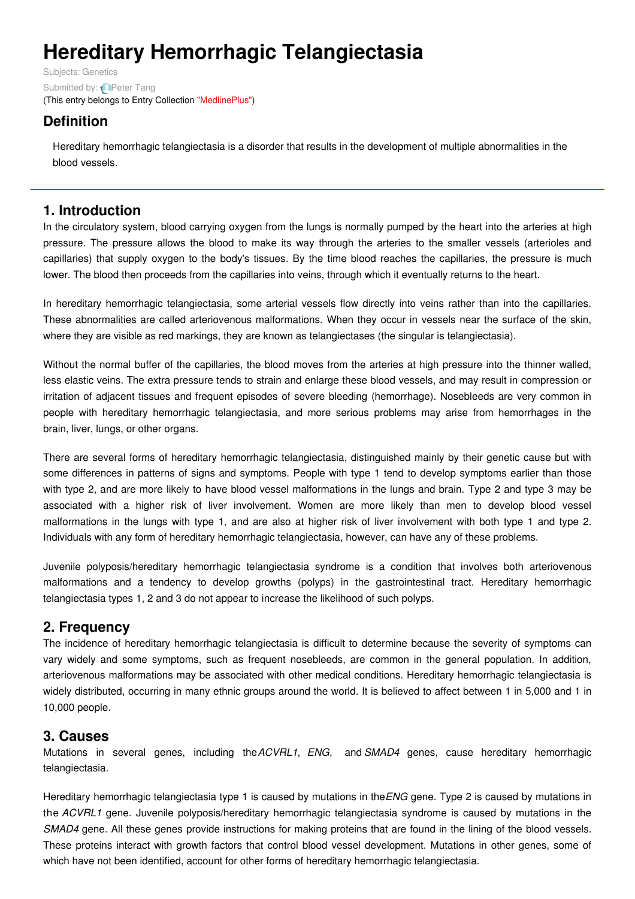# **Hereditary Hemorrhagic Telangiectasia**

Subjects: [Genetics](https://encyclopedia.pub/item/subject/56) Submitted by: **P**eter Tang (This entry belongs to Entry Collection ["MedlinePlus"](https://encyclopedia.pub/entry/collection/24))

# **Definition**

Hereditary hemorrhagic telangiectasia is a disorder that results in the development of multiple abnormalities in the blood vessels.

## **1. Introduction**

In the circulatory system, blood carrying oxygen from the lungs is normally pumped by the heart into the arteries at high pressure. The pressure allows the blood to make its way through the arteries to the smaller vessels (arterioles and capillaries) that supply oxygen to the body's tissues. By the time blood reaches the capillaries, the pressure is much lower. The blood then proceeds from the capillaries into veins, through which it eventually returns to the heart.

In hereditary hemorrhagic telangiectasia, some arterial vessels flow directly into veins rather than into the capillaries. These abnormalities are called arteriovenous malformations. When they occur in vessels near the surface of the skin, where they are visible as red markings, they are known as telangiectases (the singular is telangiectasia).

Without the normal buffer of the capillaries, the blood moves from the arteries at high pressure into the thinner walled, less elastic veins. The extra pressure tends to strain and enlarge these blood vessels, and may result in compression or irritation of adjacent tissues and frequent episodes of severe bleeding (hemorrhage). Nosebleeds are very common in people with hereditary hemorrhagic telangiectasia, and more serious problems may arise from hemorrhages in the brain, liver, lungs, or other organs.

There are several forms of hereditary hemorrhagic telangiectasia, distinguished mainly by their genetic cause but with some differences in patterns of signs and symptoms. People with type 1 tend to develop symptoms earlier than those with type 2, and are more likely to have blood vessel malformations in the lungs and brain. Type 2 and type 3 may be associated with a higher risk of liver involvement. Women are more likely than men to develop blood vessel malformations in the lungs with type 1, and are also at higher risk of liver involvement with both type 1 and type 2. Individuals with any form of hereditary hemorrhagic telangiectasia, however, can have any of these problems.

Juvenile polyposis/hereditary hemorrhagic telangiectasia syndrome is a condition that involves both arteriovenous malformations and a tendency to develop growths (polyps) in the gastrointestinal tract. Hereditary hemorrhagic telangiectasia types 1, 2 and 3 do not appear to increase the likelihood of such polyps.

## **2. Frequency**

The incidence of hereditary hemorrhagic telangiectasia is difficult to determine because the severity of symptoms can vary widely and some symptoms, such as frequent nosebleeds, are common in the general population. In addition, arteriovenous malformations may be associated with other medical conditions. Hereditary hemorrhagic telangiectasia is widely distributed, occurring in many ethnic groups around the world. It is believed to affect between 1 in 5,000 and 1 in 10,000 people.

## **3. Causes**

Mutations in several genes, including the*ACVRL1*, *ENG*, and *SMAD4* genes, cause hereditary hemorrhagic telangiectasia.

Hereditary hemorrhagic telangiectasia type 1 is caused by mutations in the*ENG* gene. Type 2 is caused by mutations in the *ACVRL1* gene. Juvenile polyposis/hereditary hemorrhagic telangiectasia syndrome is caused by mutations in the *SMAD4* gene. All these genes provide instructions for making proteins that are found in the lining of the blood vessels. These proteins interact with growth factors that control blood vessel development. Mutations in other genes, some of which have not been identified, account for other forms of hereditary hemorrhagic telangiectasia.